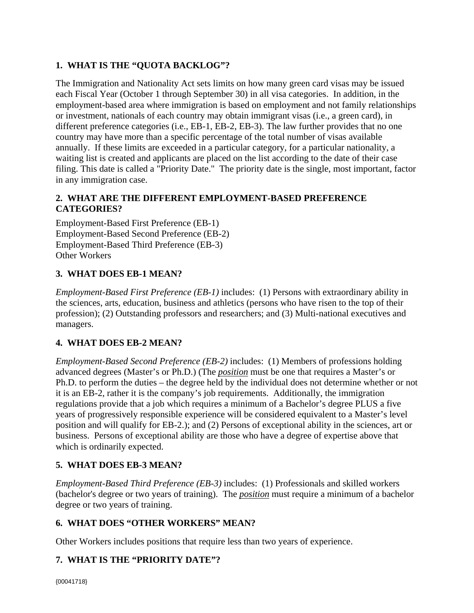# **1. WHAT IS THE "QUOTA BACKLOG"?**

The Immigration and Nationality Act sets limits on how many green card visas may be issued each Fiscal Year (October 1 through September 30) in all visa categories. In addition, in the employment-based area where immigration is based on employment and not family relationships or investment, nationals of each country may obtain immigrant visas (i.e., a green card), in different preference categories (i.e., EB-1, EB-2, EB-3). The law further provides that no one country may have more than a specific percentage of the total number of visas available annually. If these limits are exceeded in a particular category, for a particular nationality, a waiting list is created and applicants are placed on the list according to the date of their case filing. This date is called a "Priority Date." The priority date is the single, most important, factor in any immigration case.

# **2. WHAT ARE THE DIFFERENT EMPLOYMENT-BASED PREFERENCE CATEGORIES?**

Employment-Based First Preference (EB-1) Employment-Based Second Preference (EB-2) Employment-Based Third Preference (EB-3) Other Workers

## **3. WHAT DOES EB-1 MEAN?**

*Employment-Based First Preference (EB-1)* includes: (1) Persons with extraordinary ability in the sciences, arts, education, business and athletics (persons who have risen to the top of their profession); (2) Outstanding professors and researchers; and (3) Multi-national executives and managers.

## **4. WHAT DOES EB-2 MEAN?**

*Employment-Based Second Preference (EB-2)* includes: (1) Members of professions holding advanced degrees (Master's or Ph.D.) (The *position* must be one that requires a Master's or Ph.D. to perform the duties – the degree held by the individual does not determine whether or not it is an EB-2, rather it is the company's job requirements. Additionally, the immigration regulations provide that a job which requires a minimum of a Bachelor's degree PLUS a five years of progressively responsible experience will be considered equivalent to a Master's level position and will qualify for EB-2.); and (2) Persons of exceptional ability in the sciences, art or business. Persons of exceptional ability are those who have a degree of expertise above that which is ordinarily expected.

## **5. WHAT DOES EB-3 MEAN?**

*Employment-Based Third Preference (EB-3)* includes: (1) Professionals and skilled workers (bachelor's degree or two years of training). The *position* must require a minimum of a bachelor degree or two years of training.

## **6. WHAT DOES "OTHER WORKERS" MEAN?**

Other Workers includes positions that require less than two years of experience.

# **7. WHAT IS THE "PRIORITY DATE"?**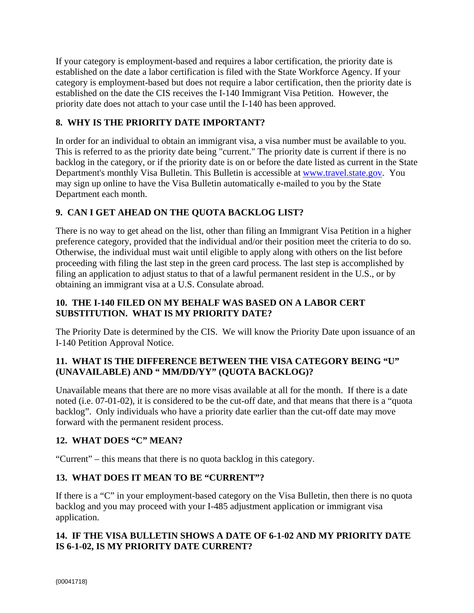If your category is employment-based and requires a labor certification, the priority date is established on the date a labor certification is filed with the State Workforce Agency. If your category is employment-based but does not require a labor certification, then the priority date is established on the date the CIS receives the I-140 Immigrant Visa Petition. However, the priority date does not attach to your case until the I-140 has been approved.

# **8. WHY IS THE PRIORITY DATE IMPORTANT?**

In order for an individual to obtain an immigrant visa, a visa number must be available to you. This is referred to as the priority date being "current." The priority date is current if there is no backlog in the category, or if the priority date is on or before the date listed as current in the State Department's monthly Visa Bulletin. This Bulletin is accessible at [www.travel.state.gov.](http://www.travel.state.gov./) You may sign up online to have the Visa Bulletin automatically e-mailed to you by the State Department each month.

# **9. CAN I GET AHEAD ON THE QUOTA BACKLOG LIST?**

There is no way to get ahead on the list, other than filing an Immigrant Visa Petition in a higher preference category, provided that the individual and/or their position meet the criteria to do so. Otherwise, the individual must wait until eligible to apply along with others on the list before proceeding with filing the last step in the green card process. The last step is accomplished by filing an application to adjust status to that of a lawful permanent resident in the U.S., or by obtaining an immigrant visa at a U.S. Consulate abroad.

# **10. THE I-140 FILED ON MY BEHALF WAS BASED ON A LABOR CERT SUBSTITUTION. WHAT IS MY PRIORITY DATE?**

The Priority Date is determined by the CIS. We will know the Priority Date upon issuance of an I-140 Petition Approval Notice.

# **11. WHAT IS THE DIFFERENCE BETWEEN THE VISA CATEGORY BEING "U" (UNAVAILABLE) AND " MM/DD/YY" (QUOTA BACKLOG)?**

Unavailable means that there are no more visas available at all for the month. If there is a date noted (i.e. 07-01-02), it is considered to be the cut-off date, and that means that there is a "quota backlog". Only individuals who have a priority date earlier than the cut-off date may move forward with the permanent resident process.

# **12. WHAT DOES "C" MEAN?**

"Current" – this means that there is no quota backlog in this category.

# **13. WHAT DOES IT MEAN TO BE "CURRENT"?**

If there is a "C" in your employment-based category on the Visa Bulletin, then there is no quota backlog and you may proceed with your I-485 adjustment application or immigrant visa application.

# **14. IF THE VISA BULLETIN SHOWS A DATE OF 6-1-02 AND MY PRIORITY DATE IS 6-1-02, IS MY PRIORITY DATE CURRENT?**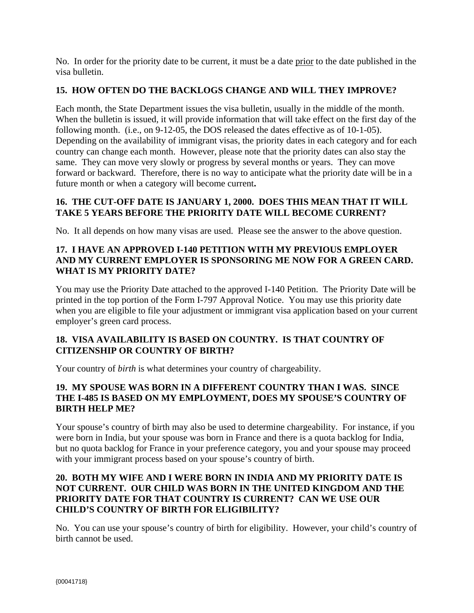No. In order for the priority date to be current, it must be a date prior to the date published in the visa bulletin.

# **15. HOW OFTEN DO THE BACKLOGS CHANGE AND WILL THEY IMPROVE?**

Each month, the State Department issues the visa bulletin, usually in the middle of the month. When the bulletin is issued, it will provide information that will take effect on the first day of the following month. (i.e., on 9-12-05, the DOS released the dates effective as of 10-1-05). Depending on the availability of immigrant visas, the priority dates in each category and for each country can change each month. However, please note that the priority dates can also stay the same. They can move very slowly or progress by several months or years. They can move forward or backward. Therefore, there is no way to anticipate what the priority date will be in a future month or when a category will become current**.** 

## **16. THE CUT-OFF DATE IS JANUARY 1, 2000. DOES THIS MEAN THAT IT WILL TAKE 5 YEARS BEFORE THE PRIORITY DATE WILL BECOME CURRENT?**

No. It all depends on how many visas are used. Please see the answer to the above question.

# **17. I HAVE AN APPROVED I-140 PETITION WITH MY PREVIOUS EMPLOYER AND MY CURRENT EMPLOYER IS SPONSORING ME NOW FOR A GREEN CARD. WHAT IS MY PRIORITY DATE?**

You may use the Priority Date attached to the approved I-140 Petition. The Priority Date will be printed in the top portion of the Form I-797 Approval Notice. You may use this priority date when you are eligible to file your adjustment or immigrant visa application based on your current employer's green card process.

## **18. VISA AVAILABILITY IS BASED ON COUNTRY. IS THAT COUNTRY OF CITIZENSHIP OR COUNTRY OF BIRTH?**

Your country of *birth* is what determines your country of chargeability.

# **19. MY SPOUSE WAS BORN IN A DIFFERENT COUNTRY THAN I WAS. SINCE THE I-485 IS BASED ON MY EMPLOYMENT, DOES MY SPOUSE'S COUNTRY OF BIRTH HELP ME?**

Your spouse's country of birth may also be used to determine chargeability. For instance, if you were born in India, but your spouse was born in France and there is a quota backlog for India, but no quota backlog for France in your preference category, you and your spouse may proceed with your immigrant process based on your spouse's country of birth.

#### **20. BOTH MY WIFE AND I WERE BORN IN INDIA AND MY PRIORITY DATE IS NOT CURRENT. OUR CHILD WAS BORN IN THE UNITED KINGDOM AND THE PRIORITY DATE FOR THAT COUNTRY IS CURRENT? CAN WE USE OUR CHILD'S COUNTRY OF BIRTH FOR ELIGIBILITY?**

No. You can use your spouse's country of birth for eligibility. However, your child's country of birth cannot be used.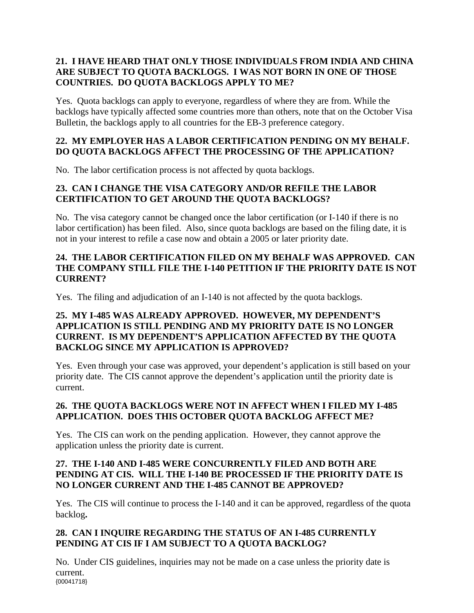# **21. I HAVE HEARD THAT ONLY THOSE INDIVIDUALS FROM INDIA AND CHINA ARE SUBJECT TO QUOTA BACKLOGS. I WAS NOT BORN IN ONE OF THOSE COUNTRIES. DO QUOTA BACKLOGS APPLY TO ME?**

Yes. Quota backlogs can apply to everyone, regardless of where they are from. While the backlogs have typically affected some countries more than others, note that on the October Visa Bulletin, the backlogs apply to all countries for the EB-3 preference category.

# **22. MY EMPLOYER HAS A LABOR CERTIFICATION PENDING ON MY BEHALF. DO QUOTA BACKLOGS AFFECT THE PROCESSING OF THE APPLICATION?**

No. The labor certification process is not affected by quota backlogs.

# **23. CAN I CHANGE THE VISA CATEGORY AND/OR REFILE THE LABOR CERTIFICATION TO GET AROUND THE QUOTA BACKLOGS?**

No. The visa category cannot be changed once the labor certification (or I-140 if there is no labor certification) has been filed. Also, since quota backlogs are based on the filing date, it is not in your interest to refile a case now and obtain a 2005 or later priority date.

# **24. THE LABOR CERTIFICATION FILED ON MY BEHALF WAS APPROVED. CAN THE COMPANY STILL FILE THE I-140 PETITION IF THE PRIORITY DATE IS NOT CURRENT?**

Yes. The filing and adjudication of an I-140 is not affected by the quota backlogs.

## **25. MY I-485 WAS ALREADY APPROVED. HOWEVER, MY DEPENDENT'S APPLICATION IS STILL PENDING AND MY PRIORITY DATE IS NO LONGER CURRENT. IS MY DEPENDENT'S APPLICATION AFFECTED BY THE QUOTA BACKLOG SINCE MY APPLICATION IS APPROVED?**

Yes. Even through your case was approved, your dependent's application is still based on your priority date. The CIS cannot approve the dependent's application until the priority date is current.

# **26. THE QUOTA BACKLOGS WERE NOT IN AFFECT WHEN I FILED MY I-485 APPLICATION. DOES THIS OCTOBER QUOTA BACKLOG AFFECT ME?**

Yes. The CIS can work on the pending application. However, they cannot approve the application unless the priority date is current.

## **27. THE I-140 AND I-485 WERE CONCURRENTLY FILED AND BOTH ARE PENDING AT CIS. WILL THE I-140 BE PROCESSED IF THE PRIORITY DATE IS NO LONGER CURRENT AND THE I-485 CANNOT BE APPROVED?**

Yes. The CIS will continue to process the I-140 and it can be approved, regardless of the quota backlog**.** 

# **28. CAN I INQUIRE REGARDING THE STATUS OF AN I-485 CURRENTLY PENDING AT CIS IF I AM SUBJECT TO A QUOTA BACKLOG?**

{00041718} No. Under CIS guidelines, inquiries may not be made on a case unless the priority date is current.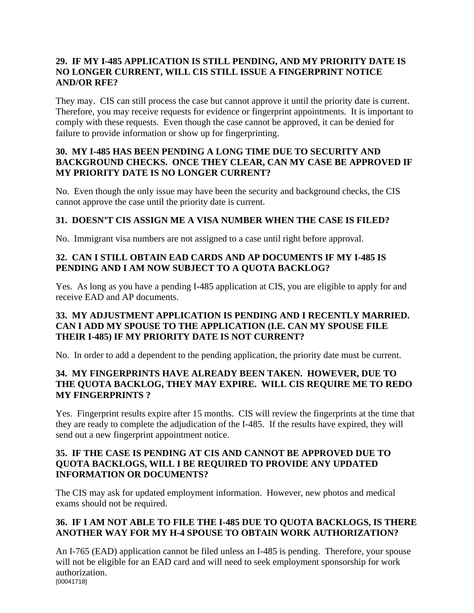## **29. IF MY I-485 APPLICATION IS STILL PENDING, AND MY PRIORITY DATE IS NO LONGER CURRENT, WILL CIS STILL ISSUE A FINGERPRINT NOTICE AND/OR RFE?**

They may. CIS can still process the case but cannot approve it until the priority date is current. Therefore, you may receive requests for evidence or fingerprint appointments. It is important to comply with these requests. Even though the case cannot be approved, it can be denied for failure to provide information or show up for fingerprinting.

## **30. MY I-485 HAS BEEN PENDING A LONG TIME DUE TO SECURITY AND BACKGROUND CHECKS. ONCE THEY CLEAR, CAN MY CASE BE APPROVED IF MY PRIORITY DATE IS NO LONGER CURRENT?**

No. Even though the only issue may have been the security and background checks, the CIS cannot approve the case until the priority date is current.

## **31. DOESN'T CIS ASSIGN ME A VISA NUMBER WHEN THE CASE IS FILED?**

No. Immigrant visa numbers are not assigned to a case until right before approval.

# **32. CAN I STILL OBTAIN EAD CARDS AND AP DOCUMENTS IF MY I-485 IS PENDING AND I AM NOW SUBJECT TO A QUOTA BACKLOG?**

Yes. As long as you have a pending I-485 application at CIS, you are eligible to apply for and receive EAD and AP documents.

## **33. MY ADJUSTMENT APPLICATION IS PENDING AND I RECENTLY MARRIED. CAN I ADD MY SPOUSE TO THE APPLICATION (I.E. CAN MY SPOUSE FILE THEIR I-485) IF MY PRIORITY DATE IS NOT CURRENT?**

No. In order to add a dependent to the pending application, the priority date must be current.

# **34. MY FINGERPRINTS HAVE ALREADY BEEN TAKEN. HOWEVER, DUE TO THE QUOTA BACKLOG, THEY MAY EXPIRE. WILL CIS REQUIRE ME TO REDO MY FINGERPRINTS ?**

Yes. Fingerprint results expire after 15 months. CIS will review the fingerprints at the time that they are ready to complete the adjudication of the I-485. If the results have expired, they will send out a new fingerprint appointment notice.

## **35. IF THE CASE IS PENDING AT CIS AND CANNOT BE APPROVED DUE TO QUOTA BACKLOGS, WILL I BE REQUIRED TO PROVIDE ANY UPDATED INFORMATION OR DOCUMENTS?**

The CIS may ask for updated employment information. However, new photos and medical exams should not be required.

# **36. IF I AM NOT ABLE TO FILE THE I-485 DUE TO QUOTA BACKLOGS, IS THERE ANOTHER WAY FOR MY H-4 SPOUSE TO OBTAIN WORK AUTHORIZATION?**

{00041718} An I-765 (EAD) application cannot be filed unless an I-485 is pending. Therefore, your spouse will not be eligible for an EAD card and will need to seek employment sponsorship for work authorization.